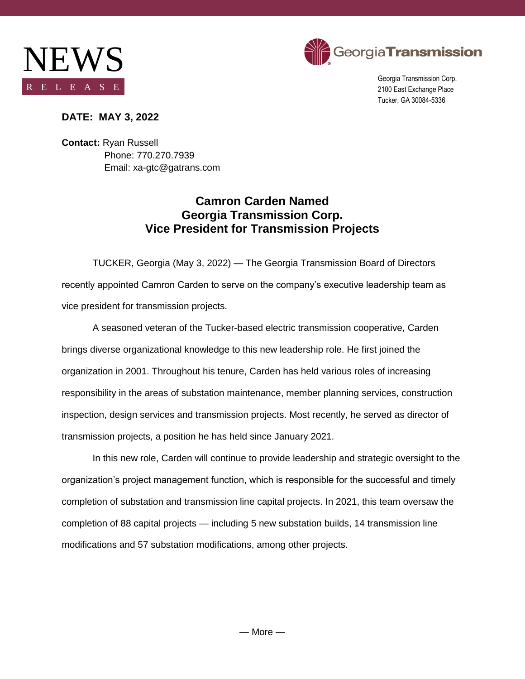



Georgia Transmission Corp. 2100 East Exchange Place Tucker, GA 30084-5336

## **DATE: MAY 3, 2022**

**Contact:** Ryan Russell Phone: 770.270.7939 Email: xa-gtc@gatrans.com

## **Camron Carden Named Georgia Transmission Corp. Vice President for Transmission Projects**

TUCKER, Georgia (May 3, 2022) — The Georgia Transmission Board of Directors recently appointed Camron Carden to serve on the company's executive leadership team as vice president for transmission projects.

A seasoned veteran of the Tucker-based electric transmission cooperative, Carden brings diverse organizational knowledge to this new leadership role. He first joined the organization in 2001. Throughout his tenure, Carden has held various roles of increasing responsibility in the areas of substation maintenance, member planning services, construction inspection, design services and transmission projects. Most recently, he served as director of transmission projects, a position he has held since January 2021.

In this new role, Carden will continue to provide leadership and strategic oversight to the organization's project management function, which is responsible for the successful and timely completion of substation and transmission line capital projects. In 2021, this team oversaw the completion of 88 capital projects — including 5 new substation builds, 14 transmission line modifications and 57 substation modifications, among other projects.